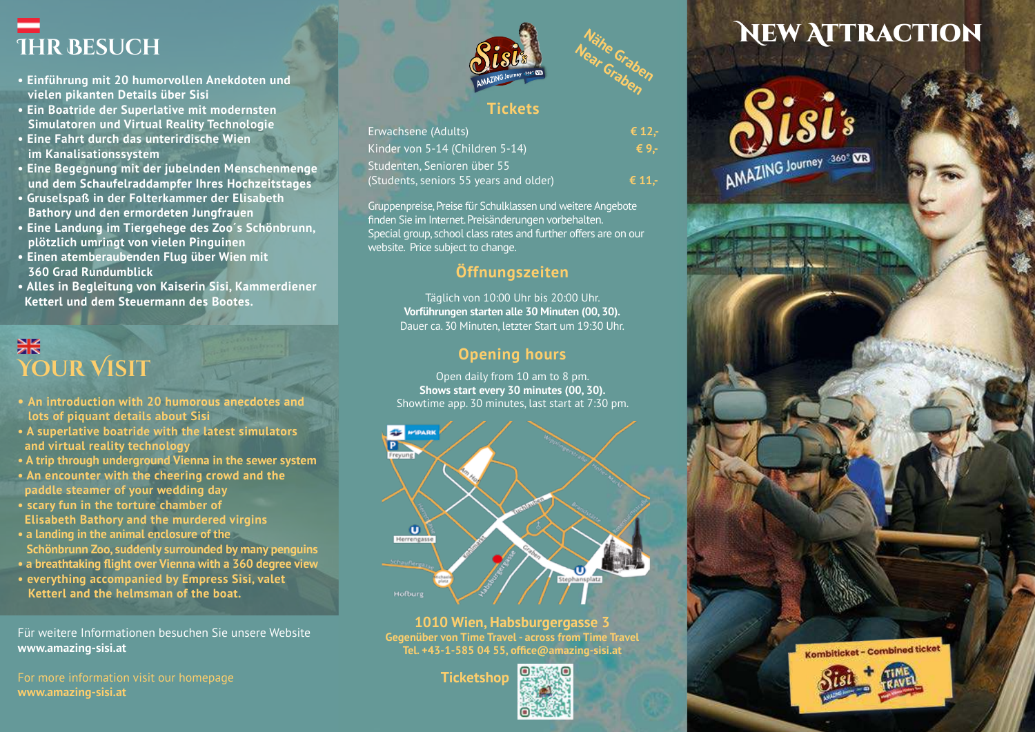- **IHR BESUCH**<br>• Einführung mit 20 humorvollen Anekdoten und<br>• Vielen nikanten Details über Sisi **• Einführung mit 20 humorvollen Anekdoten und vielen pikanten Details über Sisi**
- **Ein Boatride der Superlative mit modernsten Simulatoren und Virtual Reality Technologie**
- **Eine Fahrt durch das unterirdische Wien im Kanalisationssystem**
- **Eine Begegnung mit der jubelnden Menschenmenge und dem Schaufelraddampfer Ihres Hochzeitstages**
- **Gruselspaß in der Folterkammer der Elisabeth Bathory und den ermordeten Jungfrauen**
- **Eine Landung im Tiergehege des Zoo´s Schönbrunn, plötzlich umringt von vielen Pinguinen**
- **Einen atemberaubenden Flug über Wien mit 360 Grad Rundumblick**
- **Alles in Begleitung von Kaiserin Sisi, Kammerdiener Ketterl und dem Steuermann des Bootes.**

### 噐 **Your Visit**

- **An introduction with 20 humorous anecdotes and lots of piquant details about Sisi**
- **A superlative boatride with the latest simulators and virtual reality technology**
- **A trip through underground Vienna in the sewer system**
- **An encounter with the cheering crowd and the paddle steamer of your wedding day**
- **scary fun in the torture chamber of Elisabeth Bathory and the murdered virgins**
- **a landing in the animal enclosure of the Schönbrunn Zoo, suddenly surrounded by many penguins**
- **a breathtaking flight over Vienna with a 360 degree view**
- **everything accompanied by Empress Sisi, valet Ketterl and the helmsman of the boat.**

Für weitere Informationen besuchen Sie unsere Website **www.amazing-sisi.at**

**www.amazing-sisi.at**



Nähe<br><sup>lear</sup> Graben<br><sup>Fah</sub>en</sup>

### **Tickets**

| Erwachsene (Adults)                                             | € 12.- |
|-----------------------------------------------------------------|--------|
| Kinder von 5-14 (Children 5-14),<br>Studenten. Senioren über 55 | € 9.-  |
|                                                                 |        |

Gruppenpreise, Preise für Schulklassen und weitere Angebote finden Sie im Internet. Preisänderungen vorbehalten. Special group, school class rates and further offers are on our website. Price subject to change.

### **Öffnungszeiten**

Täglich von 10:00 Uhr bis 20:00 Uhr. **Vorführungen starten alle 30 Minuten (00, 30).** Dauer ca. 30 Minuten, letzter Start um 19:30 Uhr.

### **Opening hours**

Open daily from 10 am to 8 pm. **Shows start every 30 minutes (00, 30).** Showtime app. 30 minutes, last start at 7:30 pm.



**1010 Wien, Habsburgergasse 3 Gegenüber von Time Travel - across from Time Travel Tel. +43-1-585 04 55, office@amazing-sisi.at**



## **NEW ATTRACTION**